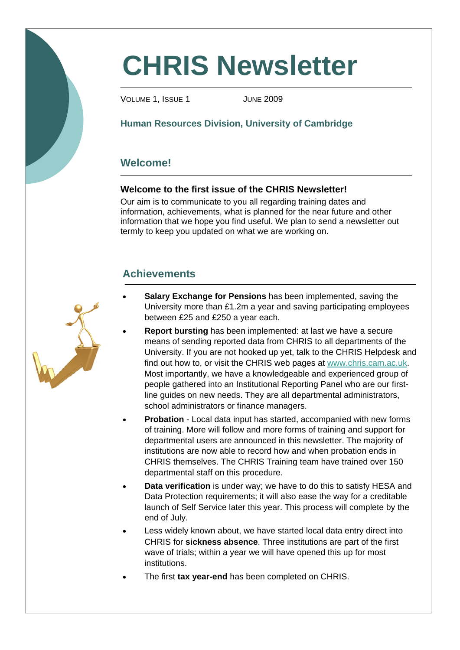# **CHRIS Newsletter**

VOLUME 1, ISSUE 1 JUNE 2009

## **Human Resources Division, University of Cambridge**

## **Welcome!**

## **Welcome to the first issue of the CHRIS Newsletter!**

Our aim is to communicate to you all regarding training dates and information, achievements, what is planned for the near future and other information that we hope you find useful. We plan to send a newsletter out termly to keep you updated on what we are working on.

## **Achievements**



- **Salary Exchange for Pensions** has been implemented, saving the University more than £1.2m a year and saving participating employees between £25 and £250 a year each.
- **Report bursting** has been implemented: at last we have a secure means of sending reported data from CHRIS to all departments of the University. If you are not hooked up yet, talk to the CHRIS Helpdesk and find out how to, or visit the CHRIS web pages at www.chris.cam.ac.uk. Most importantly, we have a knowledgeable and experienced group of people gathered into an Institutional Reporting Panel who are our firstline guides on new needs. They are all departmental administrators, school administrators or finance managers.
- **Probation** Local data input has started, accompanied with new forms of training. More will follow and more forms of training and support for departmental users are announced in this newsletter. The majority of institutions are now able to record how and when probation ends in CHRIS themselves. The CHRIS Training team have trained over 150 departmental staff on this procedure.
- **Data verification** is under way; we have to do this to satisfy HESA and Data Protection requirements; it will also ease the way for a creditable launch of Self Service later this year. This process will complete by the end of July.
- Less widely known about, we have started local data entry direct into CHRIS for **sickness absence**. Three institutions are part of the first wave of trials; within a year we will have opened this up for most institutions.
- The first **tax year-end** has been completed on CHRIS.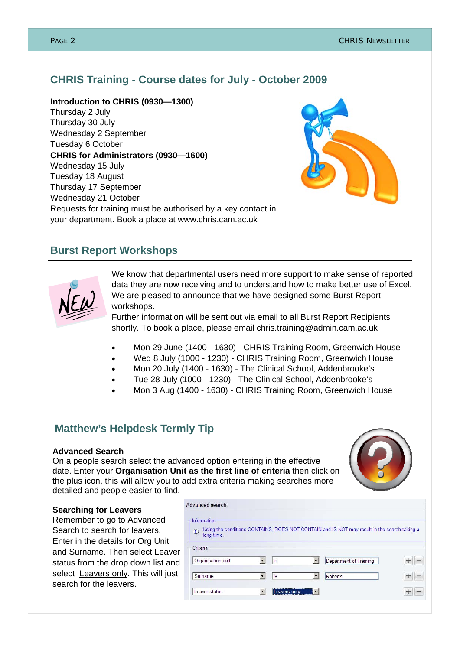## **CHRIS Training - Course dates for July - October 2009**

**Introduction to CHRIS (0930—1300)** 

Thursday 2 July Thursday 30 July Wednesday 2 September Tuesday 6 October **CHRIS for Administrators (0930—1600)**  Wednesday 15 July Tuesday 18 August Thursday 17 September Wednesday 21 October Requests for training must be authorised by a key contact in your department. Book a place at www.chris.cam.ac.uk



## **Burst Report Workshops**



We know that departmental users need more support to make sense of reported data they are now receiving and to understand how to make better use of Excel. We are pleased to announce that we have designed some Burst Report workshops.

Further information will be sent out via email to all Burst Report Recipients shortly. To book a place, please email chris.training@admin.cam.ac.uk

- Mon 29 June (1400 1630) CHRIS Training Room, Greenwich House
- Wed 8 July (1000 1230) CHRIS Training Room, Greenwich House
- Mon 20 July (1400 1630) The Clinical School, Addenbrooke's
- Tue 28 July (1000 1230) The Clinical School, Addenbrooke's
- Mon 3 Aug (1400 1630) CHRIS Training Room, Greenwich House

## **Matthew's Helpdesk Termly Tip**

### **Advanced Search**

On a people search select the advanced option entering in the effective date. Enter your **Organisation Unit as the first line of criteria** then click on the plus icon, this will allow you to add extra criteria making searches more detailed and people easier to find.

Advanced search



#### **Searching for Leavers**

Remember to go to Advanced Search to search for leavers. Enter in the details for Org Unit and Surname. Then select Leaver status from the drop down list and select Leavers only. This will just search for the leavers.

| r Information:<br>$\odot$<br>long time. |              |   | Using the conditions CONTAINS, DOES NOT CONTAIN and IS NOT may result in the search taking a |   |
|-----------------------------------------|--------------|---|----------------------------------------------------------------------------------------------|---|
| Criteria                                |              |   |                                                                                              |   |
| Organisation unit                       | is           |   | Department of Training                                                                       |   |
| Surname                                 | is           |   | Roberts                                                                                      | ÷ |
| Leaver status                           | Leavers only | u |                                                                                              |   |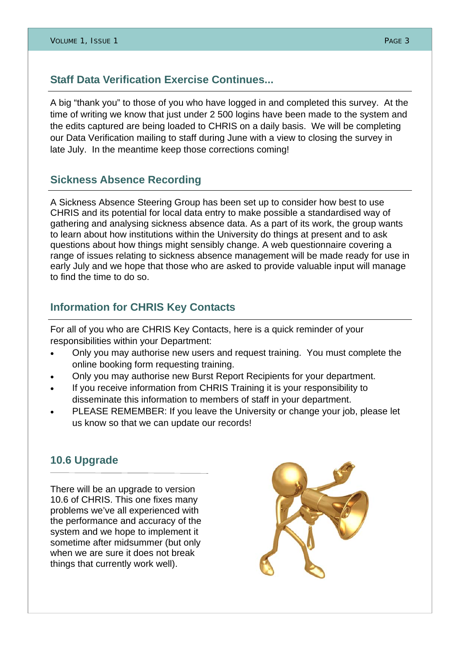## **Staff Data Verification Exercise Continues...**

A big "thank you" to those of you who have logged in and completed this survey. At the time of writing we know that just under 2 500 logins have been made to the system and the edits captured are being loaded to CHRIS on a daily basis. We will be completing our Data Verification mailing to staff during June with a view to closing the survey in late July. In the meantime keep those corrections coming!

## **Sickness Absence Recording**

A Sickness Absence Steering Group has been set up to consider how best to use CHRIS and its potential for local data entry to make possible a standardised way of gathering and analysing sickness absence data. As a part of its work, the group wants to learn about how institutions within the University do things at present and to ask questions about how things might sensibly change. A web questionnaire covering a range of issues relating to sickness absence management will be made ready for use in early July and we hope that those who are asked to provide valuable input will manage to find the time to do so.

## **Information for CHRIS Key Contacts**

For all of you who are CHRIS Key Contacts, here is a quick reminder of your responsibilities within your Department:

- Only you may authorise new users and request training. You must complete the online booking form requesting training.
- Only you may authorise new Burst Report Recipients for your department.
- If you receive information from CHRIS Training it is your responsibility to disseminate this information to members of staff in your department.
- PLEASE REMEMBER: If you leave the University or change your job, please let us know so that we can update our records!

## **10.6 Upgrade**

There will be an upgrade to version 10.6 of CHRIS. This one fixes many problems we've all experienced with the performance and accuracy of the system and we hope to implement it sometime after midsummer (but only when we are sure it does not break things that currently work well).